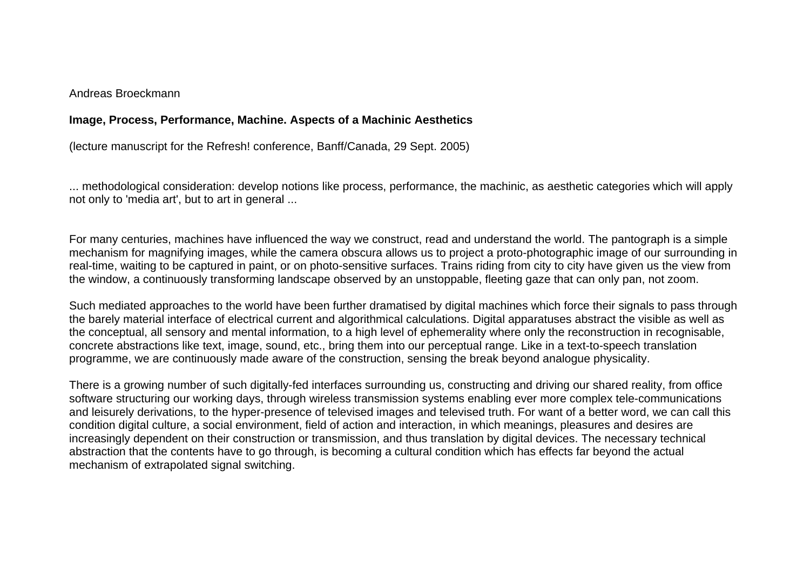Andreas Broeckmann

# **Image, Process, Performance, Machine. Aspects of a Machinic Aesthetics**

(lecture manuscript for the Refresh! conference, Banff/Canada, 29 Sept. 2005)

... methodological consideration: develop notions like process, performance, the machinic, as aesthetic categories which will apply not only to 'media art', but to art in general ...

For many centuries, machines have influenced the way we construct, read and understand the world. The pantograph is a simple mechanism for magnifying images, while the camera obscura allows us to project a proto-photographic image of our surrounding in real-time, waiting to be captured in paint, or on photo-sensitive surfaces. Trains riding from city to city have given us the view from the window, a continuously transforming landscape observed by an unstoppable, fleeting gaze that can only pan, not zoom.

Such mediated approaches to the world have been further dramatised by digital machines which force their signals to pass through the barely material interface of electrical current and algorithmical calculations. Digital apparatuses abstract the visible as well as the conceptual, all sensory and mental information, to a high level of ephemerality where only the reconstruction in recognisable, concrete abstractions like text, image, sound, etc., bring them into our perceptual range. Like in a text-to-speech translation programme, we are continuously made aware of the construction, sensing the break beyond analogue physicality.

There is a growing number of such digitally-fed interfaces surrounding us, constructing and driving our shared reality, from office software structuring our working days, through wireless transmission systems enabling ever more complex tele-communications and leisurely derivations, to the hyper-presence of televised images and televised truth. For want of a better word, we can call this condition digital culture, a social environment, field of action and interaction, in which meanings, pleasures and desires are increasingly dependent on their construction or transmission, and thus translation by digital devices. The necessary technical abstraction that the contents have to go through, is becoming a cultural condition which has effects far beyond the actual mechanism of extrapolated signal switching.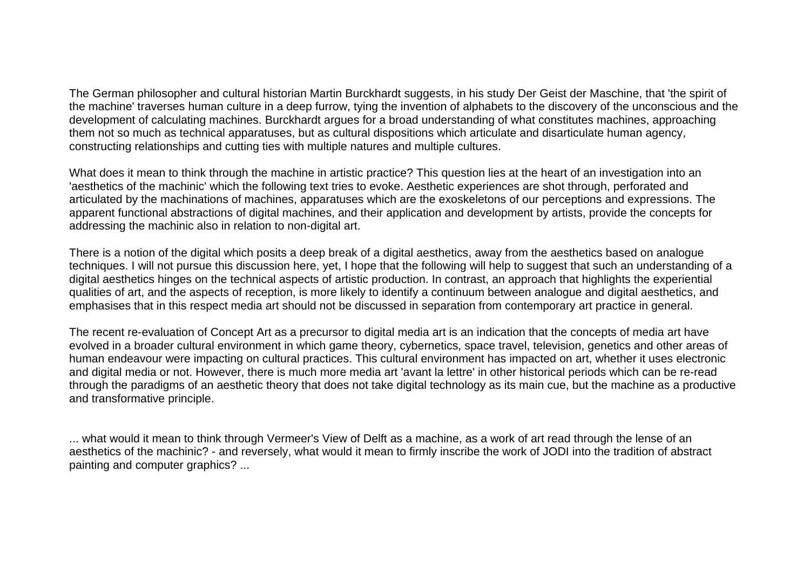The German philosopher and cultural historian Martin Burckhardt suggests, in his study Der Geist der Maschine, that 'the spirit of the machine' traverses human culture in a deep furrow, tying the invention of alphabets to the discovery of the unconscious and the development of calculating machines. Burckhardt argues for a broad understanding of what constitutes machines, approaching them not so much as technical apparatuses, but as cultural dispositions which articulate and disarticulate human agency, constructing relationships and cutting ties with multiple natures and multiple cultures.

What does it mean to think through the machine in artistic practice? This question lies at the heart of an investigation into an 'aesthetics of the machinic' which the following text tries to evoke. Aesthetic experiences are shot through, perforated and articulated by the machinations of machines, apparatuses which are the exoskeletons of our perceptions and expressions. The apparent functional abstractions of digital machines, and their application and development by artists, provide the concepts for addressing the machinic also in relation to non-digital art.

There is a notion of the digital which posits a deep break of a digital aesthetics, away from the aesthetics based on analogue techniques. I will not pursue this discussion here, yet, I hope that the following will help to suggest that such an understanding of a digital aesthetics hinges on the technical aspects of artistic production. In contrast, an approach that highlights the experiential qualities of art, and the aspects of reception, is more likely to identify a continuum between analogue and digital aesthetics, and emphasises that in this respect media art should not be discussed in separation from contemporary art practice in general.

The recent re-evaluation of Concept Art as a precursor to digital media art is an indication that the concepts of media art have evolved in a broader cultural environment in which game theory, cybernetics, space travel, television, genetics and other areas of human endeavour were impacting on cultural practices. This cultural environment has impacted on art, whether it uses electronic and digital media or not. However, there is much more media art 'avant la lettre' in other historical periods which can be re-read through the paradigms of an aesthetic theory that does not take digital technology as its main cue, but the machine as a productive and transformative principle.

... what would it mean to think through Vermeer's View of Delft as a machine, as a work of art read through the lense of an aesthetics of the machinic? - and reversely, what would it mean to firmly inscribe the work of JODI into the tradition of abstract painting and computer graphics? ...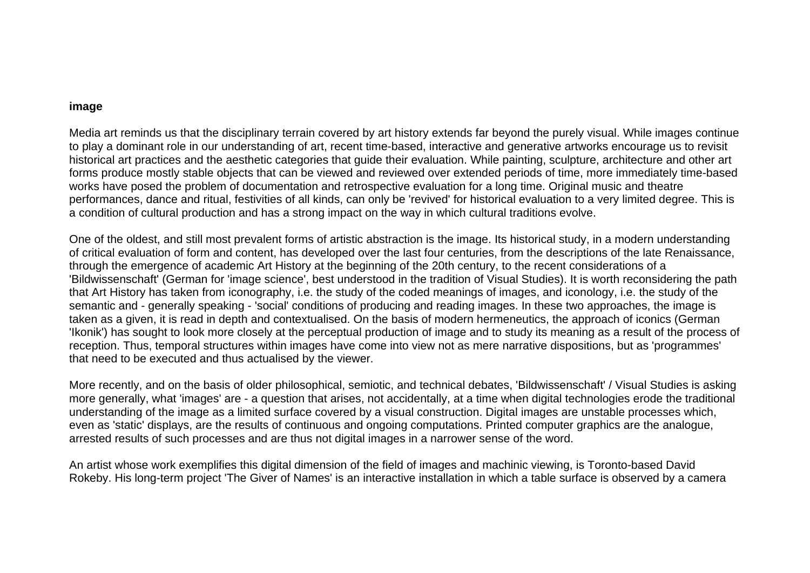# **image**

Media art reminds us that the disciplinary terrain covered by art history extends far beyond the purely visual. While images continue to play a dominant role in our understanding of art, recent time-based, interactive and generative artworks encourage us to revisit historical art practices and the aesthetic categories that guide their evaluation. While painting, sculpture, architecture and other art forms produce mostly stable objects that can be viewed and reviewed over extended periods of time, more immediately time-based works have posed the problem of documentation and retrospective evaluation for a long time. Original music and theatre performances, dance and ritual, festivities of all kinds, can only be 'revived' for historical evaluation to a very limited degree. This is a condition of cultural production and has a strong impact on the way in which cultural traditions evolve.

One of the oldest, and still most prevalent forms of artistic abstraction is the image. Its historical study, in a modern understanding of critical evaluation of form and content, has developed over the last four centuries, from the descriptions of the late Renaissance, through the emergence of academic Art History at the beginning of the 20th century, to the recent considerations of a 'Bildwissenschaft' (German for 'image science', best understood in the tradition of Visual Studies). It is worth reconsidering the path that Art History has taken from iconography, i.e. the study of the coded meanings of images, and iconology, i.e. the study of the semantic and - generally speaking - 'social' conditions of producing and reading images. In these two approaches, the image is taken as a given, it is read in depth and contextualised. On the basis of modern hermeneutics, the approach of iconics (German 'Ikonik') has sought to look more closely at the perceptual production of image and to study its meaning as a result of the process of reception. Thus, temporal structures within images have come into view not as mere narrative dispositions, but as 'programmes' that need to be executed and thus actualised by the viewer.

More recently, and on the basis of older philosophical, semiotic, and technical debates, 'Bildwissenschaft' / Visual Studies is asking more generally, what 'images' are - a question that arises, not accidentally, at a time when digital technologies erode the traditional understanding of the image as a limited surface covered by a visual construction. Digital images are unstable processes which, even as 'static' displays, are the results of continuous and ongoing computations. Printed computer graphics are the analogue, arrested results of such processes and are thus not digital images in a narrower sense of the word.

An artist whose work exemplifies this digital dimension of the field of images and machinic viewing, is Toronto-based David Rokeby. His long-term project 'The Giver of Names' is an interactive installation in which a table surface is observed by a camera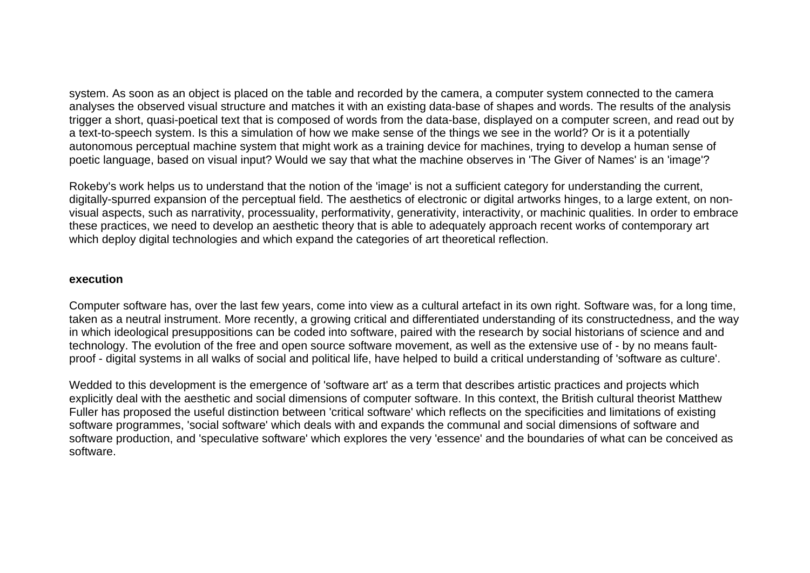system. As soon as an object is placed on the table and recorded by the camera, a computer system connected to the camera analyses the observed visual structure and matches it with an existing data-base of shapes and words. The results of the analysis trigger a short, quasi-poetical text that is composed of words from the data-base, displayed on a computer screen, and read out by a text-to-speech system. Is this a simulation of how we make sense of the things we see in the world? Or is it a potentially autonomous perceptual machine system that might work as a training device for machines, trying to develop a human sense of poetic language, based on visual input? Would we say that what the machine observes in 'The Giver of Names' is an 'image'?

Rokeby's work helps us to understand that the notion of the 'image' is not a sufficient category for understanding the current, digitally-spurred expansion of the perceptual field. The aesthetics of electronic or digital artworks hinges, to a large extent, on nonvisual aspects, such as narrativity, processuality, performativity, generativity, interactivity, or machinic qualities. In order to embrace these practices, we need to develop an aesthetic theory that is able to adequately approach recent works of contemporary art which deploy digital technologies and which expand the categories of art theoretical reflection.

### **execution**

Computer software has, over the last few years, come into view as a cultural artefact in its own right. Software was, for a long time, taken as a neutral instrument. More recently, a growing critical and differentiated understanding of its constructedness, and the way in which ideological presuppositions can be coded into software, paired with the research by social historians of science and and technology. The evolution of the free and open source software movement, as well as the extensive use of - by no means faultproof - digital systems in all walks of social and political life, have helped to build a critical understanding of 'software as culture'.

Wedded to this development is the emergence of 'software art' as a term that describes artistic practices and projects which explicitly deal with the aesthetic and social dimensions of computer software. In this context, the British cultural theorist Matthew Fuller has proposed the useful distinction between 'critical software' which reflects on the specificities and limitations of existing software programmes, 'social software' which deals with and expands the communal and social dimensions of software and software production, and 'speculative software' which explores the very 'essence' and the boundaries of what can be conceived as software.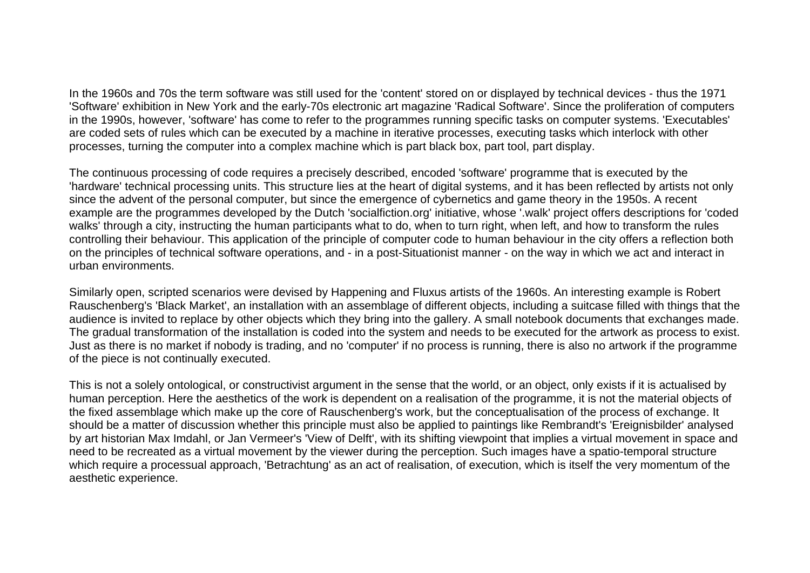In the 1960s and 70s the term software was still used for the 'content' stored on or displayed by technical devices - thus the 1971 'Software' exhibition in New York and the early-70s electronic art magazine 'Radical Software'. Since the proliferation of computers in the 1990s, however, 'software' has come to refer to the programmes running specific tasks on computer systems. 'Executables' are coded sets of rules which can be executed by a machine in iterative processes, executing tasks which interlock with other processes, turning the computer into a complex machine which is part black box, part tool, part display.

The continuous processing of code requires a precisely described, encoded 'software' programme that is executed by the 'hardware' technical processing units. This structure lies at the heart of digital systems, and it has been reflected by artists not only since the advent of the personal computer, but since the emergence of cybernetics and game theory in the 1950s. A recent example are the programmes developed by the Dutch 'socialfiction.org' initiative, whose '.walk' project offers descriptions for 'coded walks' through a city, instructing the human participants what to do, when to turn right, when left, and how to transform the rules controlling their behaviour. This application of the principle of computer code to human behaviour in the city offers a reflection both on the principles of technical software operations, and - in a post-Situationist manner - on the way in which we act and interact in urban environments.

Similarly open, scripted scenarios were devised by Happening and Fluxus artists of the 1960s. An interesting example is Robert Rauschenberg's 'Black Market', an installation with an assemblage of different objects, including a suitcase filled with things that the audience is invited to replace by other objects which they bring into the gallery. A small notebook documents that exchanges made. The gradual transformation of the installation is coded into the system and needs to be executed for the artwork as process to exist. Just as there is no market if nobody is trading, and no 'computer' if no process is running, there is also no artwork if the programme of the piece is not continually executed.

This is not a solely ontological, or constructivist argument in the sense that the world, or an object, only exists if it is actualised by human perception. Here the aesthetics of the work is dependent on a realisation of the programme, it is not the material objects of the fixed assemblage which make up the core of Rauschenberg's work, but the conceptualisation of the process of exchange. It should be a matter of discussion whether this principle must also be applied to paintings like Rembrandt's 'Ereignisbilder' analysed by art historian Max Imdahl, or Jan Vermeer's 'View of Delft', with its shifting viewpoint that implies a virtual movement in space and need to be recreated as a virtual movement by the viewer during the perception. Such images have a spatio-temporal structure which require a processual approach, 'Betrachtung' as an act of realisation, of execution, which is itself the very momentum of the aesthetic experience.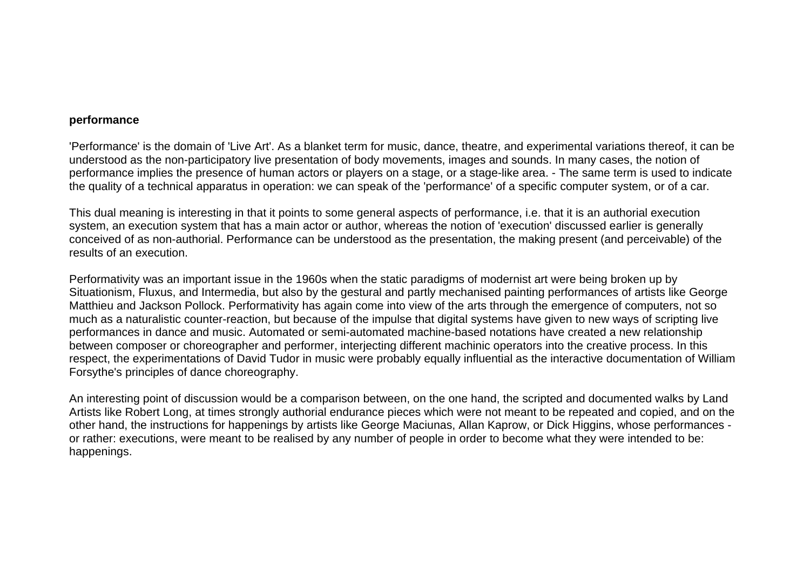## **performance**

'Performance' is the domain of 'Live Art'. As a blanket term for music, dance, theatre, and experimental variations thereof, it can be understood as the non-participatory live presentation of body movements, images and sounds. In many cases, the notion of performance implies the presence of human actors or players on a stage, or a stage-like area. - The same term is used to indicate the quality of a technical apparatus in operation: we can speak of the 'performance' of a specific computer system, or of a car.

This dual meaning is interesting in that it points to some general aspects of performance, i.e. that it is an authorial execution system, an execution system that has a main actor or author, whereas the notion of 'execution' discussed earlier is generally conceived of as non-authorial. Performance can be understood as the presentation, the making present (and perceivable) of the results of an execution.

Performativity was an important issue in the 1960s when the static paradigms of modernist art were being broken up by Situationism, Fluxus, and Intermedia, but also by the gestural and partly mechanised painting performances of artists like George Matthieu and Jackson Pollock. Performativity has again come into view of the arts through the emergence of computers, not so much as a naturalistic counter-reaction, but because of the impulse that digital systems have given to new ways of scripting live performances in dance and music. Automated or semi-automated machine-based notations have created a new relationship between composer or choreographer and performer, interjecting different machinic operators into the creative process. In this respect, the experimentations of David Tudor in music were probably equally influential as the interactive documentation of William Forsythe's principles of dance choreography.

An interesting point of discussion would be a comparison between, on the one hand, the scripted and documented walks by Land Artists like Robert Long, at times strongly authorial endurance pieces which were not meant to be repeated and copied, and on the other hand, the instructions for happenings by artists like George Maciunas, Allan Kaprow, or Dick Higgins, whose performances or rather: executions, were meant to be realised by any number of people in order to become what they were intended to be: happenings.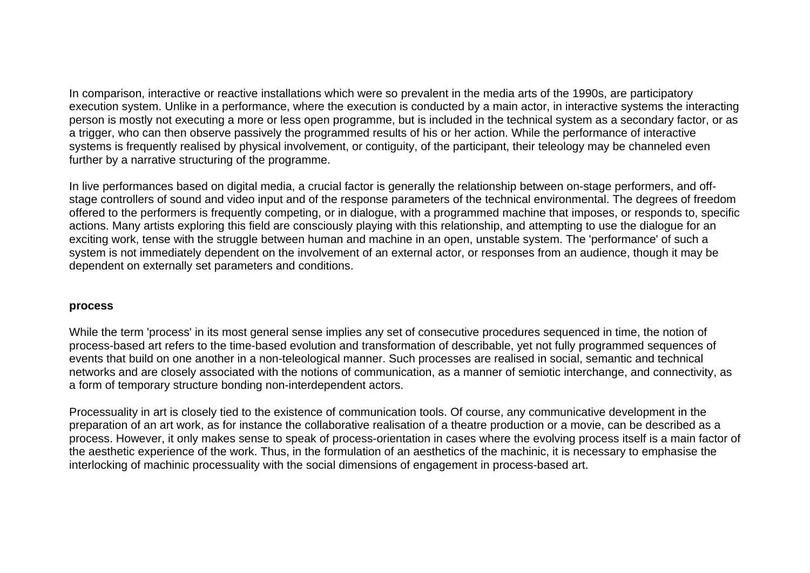In comparison, interactive or reactive installations which were so prevalent in the media arts of the 1990s, are participatory execution system. Unlike in a performance, where the execution is conducted by a main actor, in interactive systems the interacting person is mostly not executing a more or less open programme, but is included in the technical system as a secondary factor, or as a trigger, who can then observe passively the programmed results of his or her action. While the performance of interactive systems is frequently realised by physical involvement, or contiguity, of the participant, their teleology may be channeled even further by a narrative structuring of the programme.

In live performances based on digital media, a crucial factor is generally the relationship between on-stage performers, and offstage controllers of sound and video input and of the response parameters of the technical environmental. The degrees of freedom offered to the performers is frequently competing, or in dialogue, with a programmed machine that imposes, or responds to, specific actions. Many artists exploring this field are consciously playing with this relationship, and attempting to use the dialogue for an exciting work, tense with the struggle between human and machine in an open, unstable system. The 'performance' of such a system is not immediately dependent on the involvement of an external actor, or responses from an audience, though it may be dependent on externally set parameters and conditions.

### **process**

While the term 'process' in its most general sense implies any set of consecutive procedures sequenced in time, the notion of process-based art refers to the time-based evolution and transformation of describable, yet not fully programmed sequences of events that build on one another in a non-teleological manner. Such processes are realised in social, semantic and technical networks and are closely associated with the notions of communication, as a manner of semiotic interchange, and connectivity, as a form of temporary structure bonding non-interdependent actors.

Processuality in art is closely tied to the existence of communication tools. Of course, any communicative development in the preparation of an art work, as for instance the collaborative realisation of a theatre production or a movie, can be described as a process. However, it only makes sense to speak of process-orientation in cases where the evolving process itself is a main factor of the aesthetic experience of the work. Thus, in the formulation of an aesthetics of the machinic, it is necessary to emphasise the interlocking of machinic processuality with the social dimensions of engagement in process-based art.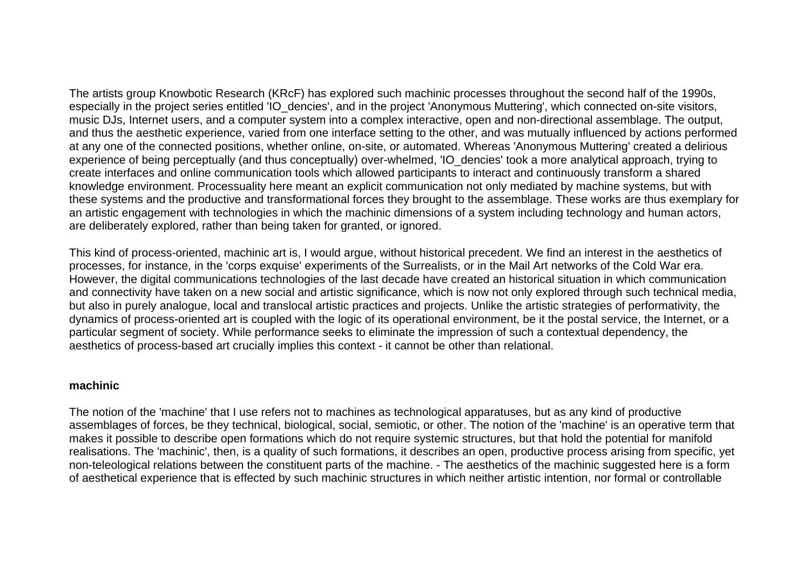The artists group Knowbotic Research (KRcF) has explored such machinic processes throughout the second half of the 1990s, especially in the project series entitled 'IO dencies', and in the project 'Anonymous Muttering', which connected on-site visitors, music DJs, Internet users, and a computer system into a complex interactive, open and non-directional assemblage. The output, and thus the aesthetic experience, varied from one interface setting to the other, and was mutually influenced by actions performed at any one of the connected positions, whether online, on-site, or automated. Whereas 'Anonymous Muttering' created a delirious experience of being perceptually (and thus conceptually) over-whelmed, 'IO\_dencies' took a more analytical approach, trying to create interfaces and online communication tools which allowed participants to interact and continuously transform a shared knowledge environment. Processuality here meant an explicit communication not only mediated by machine systems, but with these systems and the productive and transformational forces they brought to the assemblage. These works are thus exemplary for an artistic engagement with technologies in which the machinic dimensions of a system including technology and human actors, are deliberately explored, rather than being taken for granted, or ignored.

This kind of process-oriented, machinic art is, I would argue, without historical precedent. We find an interest in the aesthetics of processes, for instance, in the 'corps exquise' experiments of the Surrealists, or in the Mail Art networks of the Cold War era. However, the digital communications technologies of the last decade have created an historical situation in which communication and connectivity have taken on a new social and artistic significance, which is now not only explored through such technical media, but also in purely analogue, local and translocal artistic practices and projects. Unlike the artistic strategies of performativity, the dynamics of process-oriented art is coupled with the logic of its operational environment, be it the postal service, the Internet, or a particular segment of society. While performance seeks to eliminate the impression of such a contextual dependency, the aesthetics of process-based art crucially implies this context - it cannot be other than relational.

# **machinic**

The notion of the 'machine' that I use refers not to machines as technological apparatuses, but as any kind of productive assemblages of forces, be they technical, biological, social, semiotic, or other. The notion of the 'machine' is an operative term that makes it possible to describe open formations which do not require systemic structures, but that hold the potential for manifold realisations. The 'machinic', then, is a quality of such formations, it describes an open, productive process arising from specific, yet non-teleological relations between the constituent parts of the machine. - The aesthetics of the machinic suggested here is a form of aesthetical experience that is effected by such machinic structures in which neither artistic intention, nor formal or controllable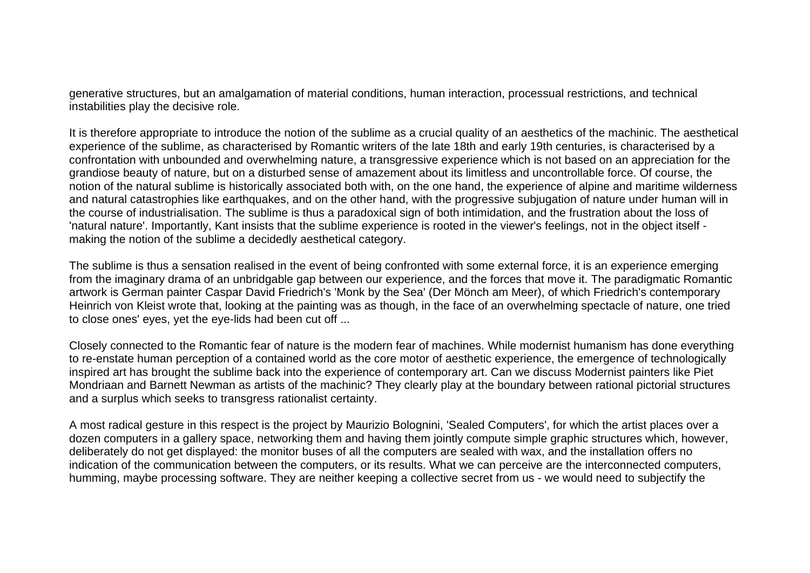generative structures, but an amalgamation of material conditions, human interaction, processual restrictions, and technical instabilities play the decisive role.

It is therefore appropriate to introduce the notion of the sublime as a crucial quality of an aesthetics of the machinic. The aesthetical experience of the sublime, as characterised by Romantic writers of the late 18th and early 19th centuries, is characterised by a confrontation with unbounded and overwhelming nature, a transgressive experience which is not based on an appreciation for the grandiose beauty of nature, but on a disturbed sense of amazement about its limitless and uncontrollable force. Of course, the notion of the natural sublime is historically associated both with, on the one hand, the experience of alpine and maritime wilderness and natural catastrophies like earthquakes, and on the other hand, with the progressive subjugation of nature under human will in the course of industrialisation. The sublime is thus a paradoxical sign of both intimidation, and the frustration about the loss of 'natural nature'. Importantly, Kant insists that the sublime experience is rooted in the viewer's feelings, not in the object itself making the notion of the sublime a decidedly aesthetical category.

The sublime is thus a sensation realised in the event of being confronted with some external force, it is an experience emerging from the imaginary drama of an unbridgable gap between our experience, and the forces that move it. The paradigmatic Romantic artwork is German painter Caspar David Friedrich's 'Monk by the Sea' (Der Mönch am Meer), of which Friedrich's contemporary Heinrich von Kleist wrote that, looking at the painting was as though, in the face of an overwhelming spectacle of nature, one tried to close ones' eyes, yet the eye-lids had been cut off ...

Closely connected to the Romantic fear of nature is the modern fear of machines. While modernist humanism has done everything to re-enstate human perception of a contained world as the core motor of aesthetic experience, the emergence of technologically inspired art has brought the sublime back into the experience of contemporary art. Can we discuss Modernist painters like Piet Mondriaan and Barnett Newman as artists of the machinic? They clearly play at the boundary between rational pictorial structures and a surplus which seeks to transgress rationalist certainty.

A most radical gesture in this respect is the project by Maurizio Bolognini, 'Sealed Computers', for which the artist places over a dozen computers in a gallery space, networking them and having them jointly compute simple graphic structures which, however, deliberately do not get displayed: the monitor buses of all the computers are sealed with wax, and the installation offers no indication of the communication between the computers, or its results. What we can perceive are the interconnected computers, humming, maybe processing software. They are neither keeping a collective secret from us - we would need to subjectify the